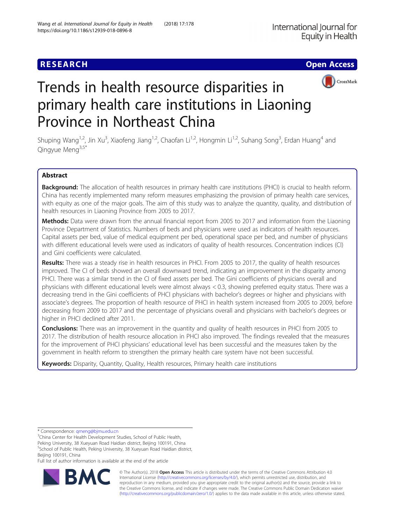

# Trends in health resource disparities in primary health care institutions in Liaoning Province in Northeast China

Shuping Wang<sup>1,2</sup>, Jin Xu<sup>3</sup>, Xiaofeng Jiang<sup>1,2</sup>, Chaofan Li<sup>1,2</sup>, Hongmin Li<sup>1,2</sup>, Suhang Song<sup>3</sup>, Erdan Huang<sup>4</sup> and Qingyue Meng3,5\*

# Abstract

Background: The allocation of health resources in primary health care institutions (PHCI) is crucial to health reform. China has recently implemented many reform measures emphasizing the provision of primary health care services, with equity as one of the major goals. The aim of this study was to analyze the quantity, quality, and distribution of health resources in Liaoning Province from 2005 to 2017.

Methods: Data were drawn from the annual financial report from 2005 to 2017 and information from the Liaoning Province Department of Statistics. Numbers of beds and physicians were used as indicators of health resources. Capital assets per bed, value of medical equipment per bed, operational space per bed, and number of physicians with different educational levels were used as indicators of quality of health resources. Concentration indices (CI) and Gini coefficients were calculated.

Results: There was a steady rise in health resources in PHCI. From 2005 to 2017, the quality of health resources improved. The CI of beds showed an overall downward trend, indicating an improvement in the disparity among PHCI. There was a similar trend in the CI of fixed assets per bed. The Gini coefficients of physicians overall and physicians with different educational levels were almost always < 0.3, showing preferred equity status. There was a decreasing trend in the Gini coefficients of PHCI physicians with bachelor's degrees or higher and physicians with associate's degrees. The proportion of health resource of PHCI in health system increased from 2005 to 2009, before decreasing from 2009 to 2017 and the percentage of physicians overall and physicians with bachelor's degrees or higher in PHCI declined after 2011.

**Conclusions:** There was an improvement in the quantity and quality of health resources in PHCI from 2005 to 2017. The distribution of health resource allocation in PHCI also improved. The findings revealed that the measures for the improvement of PHCI physicians' educational level has been successful and the measures taken by the government in health reform to strengthen the primary health care system have not been successful.

Keywords: Disparity, Quantity, Quality, Health resources, Primary health care institutions

\* Correspondence: [qmeng@bjmu.edu.cn](mailto:qmeng@bjmu.edu.cn) <sup>3</sup>

<sup>3</sup>China Center for Health Development Studies, School of Public Health,

Peking University, 38 Xueyuan Road Haidian district, Beijing 100191, China

5 School of Public Health, Peking University, 38 Xueyuan Road Haidian district, Beijing 100191, China

Full list of author information is available at the end of the article



© The Author(s). 2018 Open Access This article is distributed under the terms of the Creative Commons Attribution 4.0 International License [\(http://creativecommons.org/licenses/by/4.0/](http://creativecommons.org/licenses/by/4.0/)), which permits unrestricted use, distribution, and reproduction in any medium, provided you give appropriate credit to the original author(s) and the source, provide a link to the Creative Commons license, and indicate if changes were made. The Creative Commons Public Domain Dedication waiver [\(http://creativecommons.org/publicdomain/zero/1.0/](http://creativecommons.org/publicdomain/zero/1.0/)) applies to the data made available in this article, unless otherwise stated.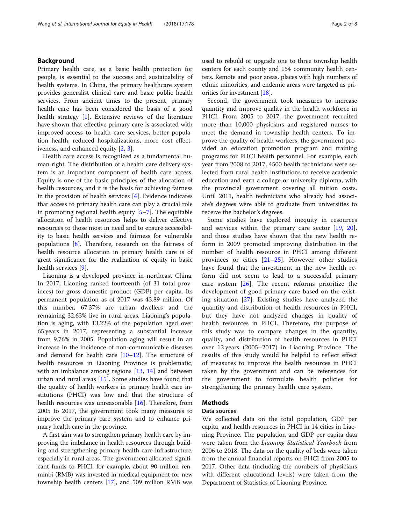# Background

Primary health care, as a basic health protection for people, is essential to the success and sustainability of health systems. In China, the primary healthcare system provides generalist clinical care and basic public health services. From ancient times to the present, primary health care has been considered the basis of a good health strategy [\[1](#page-6-0)]. Extensive reviews of the literature have shown that effective primary care is associated with improved access to health care services, better population health, reduced hospitalizations, more cost effectiveness, and enhanced equity [[2,](#page-6-0) [3\]](#page-6-0).

Health care access is recognized as a fundamental human right. The distribution of a health care delivery system is an important component of health care access. Equity is one of the basic principles of the allocation of health resources, and it is the basis for achieving fairness in the provision of health services [\[4](#page-7-0)]. Evidence indicates that access to primary health care can play a crucial role in promoting regional health equity [[5](#page-7-0)–[7\]](#page-7-0). The equitable allocation of health resources helps to deliver effective resources to those most in need and to ensure accessibility to basic health services and fairness for vulnerable populations  $[8]$  $[8]$  $[8]$ . Therefore, research on the fairness of health resource allocation in primary health care is of great significance for the realization of equity in basic health services [[9\]](#page-7-0).

Liaoning is a developed province in northeast China. In 2017, Liaoning ranked fourteenth (of 31 total provinces) for gross domestic product (GDP) per capita. Its permanent population as of 2017 was 43.89 million. Of this number, 67.37% are urban dwellers and the remaining 32.63% live in rural areas. Liaoning's population is aging, with 13.22% of the population aged over 65 years in 2017, representing a substantial increase from 9.76% in 2005. Population aging will result in an increase in the incidence of non-communicable diseases and demand for health care [[10](#page-7-0)–[12](#page-7-0)]. The structure of health resources in Liaoning Province is problematic, with an imbalance among regions [\[13](#page-7-0), [14](#page-7-0)] and between urban and rural areas [\[15\]](#page-7-0). Some studies have found that the quality of health workers in primary health care institutions (PHCI) was low and that the structure of health resources was unreasonable [\[16](#page-7-0)]. Therefore, from 2005 to 2017, the government took many measures to improve the primary care system and to enhance primary health care in the province.

A first aim was to strengthen primary health care by improving the imbalance in health resources through building and strengthening primary health care infrastructure, especially in rural areas. The government allocated significant funds to PHCI; for example, about 90 million renminbi (RMB) was invested in medical equipment for new township health centers [\[17\]](#page-7-0), and 509 million RMB was used to rebuild or upgrade one to three township health centers for each county and 154 community health centers. Remote and poor areas, places with high numbers of ethnic minorities, and endemic areas were targeted as priorities for investment [[18](#page-7-0)].

Second, the government took measures to increase quantity and improve quality in the health workforce in PHCI. From 2005 to 2017, the government recruited more than 10,000 physicians and registered nurses to meet the demand in township health centers. To improve the quality of health workers, the government provided an education promotion program and training programs for PHCI health personnel. For example, each year from 2008 to 2017, 4500 health technicians were selected from rural health institutions to receive academic education and earn a college or university diploma, with the provincial government covering all tuition costs. Until 2011, health technicians who already had associate's degrees were able to graduate from universities to receive the bachelor's degrees.

Some studies have explored inequity in resources and services within the primary care sector [[19,](#page-7-0) [20](#page-7-0)], and those studies have shown that the new health reform in 2009 promoted improving distribution in the number of health resource in PHCI among different provinces or cities [[21](#page-7-0)–[25\]](#page-7-0). However, other studies have found that the investment in the new health reform did not seem to lead to a successful primary care system [[26\]](#page-7-0). The recent reforms prioritize the development of good primary care based on the existing situation [[27\]](#page-7-0). Existing studies have analyzed the quantity and distribution of health resources in PHCI, but they have not analyzed changes in quality of health resources in PHCI. Therefore, the purpose of this study was to compare changes in the quantity, quality, and distribution of health resources in PHCI over 12 years (2005–2017) in Liaoning Province. The results of this study would be helpful to reflect effect of measures to improve the health resources in PHCI taken by the government and can be references for the government to formulate health policies for strengthening the primary health care system.

# Methods

# Data sources

We collected data on the total population, GDP per capita, and health resources in PHCI in 14 cities in Liaoning Province. The population and GDP per capita data were taken from the Liaoning Statistical Yearbook from 2006 to 2018. The data on the quality of beds were taken from the annual financial reports on PHCI from 2005 to 2017. Other data (including the numbers of physicians with different educational levels) were taken from the Department of Statistics of Liaoning Province.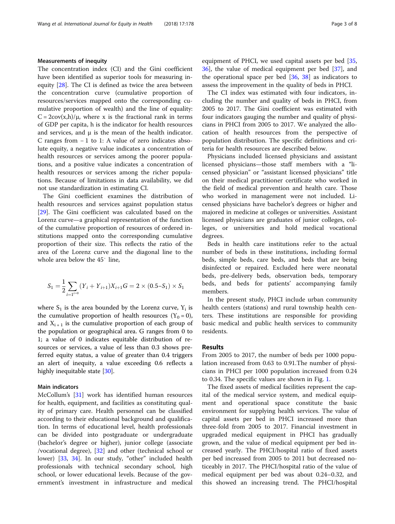# Measurements of inequity

The concentration index (CI) and the Gini coefficient have been identified as superior tools for measuring inequity [\[28](#page-7-0)]. The CI is defined as twice the area between the concentration curve (cumulative proportion of resources/services mapped onto the corresponding cumulative proportion of wealth) and the line of equality:  $C = 2\text{cov}(x,h)/\mu$ , where x is the fractional rank in terms of GDP per capita, h is the indicator for health resources and services, and  $\mu$  is the mean of the health indicator. C ranges from − 1 to 1: A value of zero indicates absolute equity, a negative value indicates a concentration of health resources or services among the poorer populations, and a positive value indicates a concentration of health resources or services among the richer populations. Because of limitations in data availability, we did not use standardization in estimating CI.

The Gini coefficient examines the distribution of health resources and services against population status [[29\]](#page-7-0). The Gini coefficient was calculated based on the Lorenz curve—a graphical representation of the function of the cumulative proportion of resources of ordered institutions mapped onto the corresponding cumulative proportion of their size. This reflects the ratio of the area of the Lorenz curve and the diagonal line to the whole area below the 45° line,

$$
S_1 = \frac{1}{2} \sum_{i=1}^{n} (Y_i + Y_{i+1}) X_{i+1} G = 2 \times (0.5 - S_1) \times S_1
$$

where  $S_1$  is the area bounded by the Lorenz curve,  $Y_i$  is the cumulative proportion of health resources  $(Y_0 = 0)$ , and  $X_{i+1}$  is the cumulative proportion of each group of the population or geographical area. G ranges from 0 to 1; a value of 0 indicates equitable distribution of resources or services, a value of less than 0.3 shows preferred equity status, a value of greater than 0.4 triggers an alert of inequity, a value exceeding 0.6 reflects a highly inequitable state [[30](#page-7-0)].

# Main indicators

McCollum's [[31](#page-7-0)] work has identified human resources for health, equipment, and facilities as constituting quality of primary care. Health personnel can be classified according to their educational background and qualification. In terms of educational level, health professionals can be divided into postgraduate or undergraduate (bachelor's degree or higher), junior college (associate /vocational degree), [\[32](#page-7-0)] and other (technical school or lower) [[33,](#page-7-0) [34\]](#page-7-0). In our study, "other" included health professionals with technical secondary school, high school, or lower educational levels. Because of the government's investment in infrastructure and medical equipment of PHCI, we used capital assets per bed [[35](#page-7-0), [36\]](#page-7-0), the value of medical equipment per bed [\[37\]](#page-7-0), and the operational space per bed  $[36, 38]$  $[36, 38]$  $[36, 38]$  $[36, 38]$  as indicators to assess the improvement in the quality of beds in PHCI.

The CI index was estimated with four indicators, including the number and quality of beds in PHCI, from 2005 to 2017. The Gini coefficient was estimated with four indicators gauging the number and quality of physicians in PHCI from 2005 to 2017. We analyzed the allocation of health resources from the perspective of population distribution. The specific definitions and criteria for health resources are described below.

Physicians included licensed physicians and assistant licensed physicians—those staff members with a "licensed physician" or "assistant licensed physicians" title on their medical practitioner certificate who worked in the field of medical prevention and health care. Those who worked in management were not included. Licensed physicians have bachelor's degrees or higher and majored in medicine at colleges or universities. Assistant licensed physicians are graduates of junior colleges, colleges, or universities and hold medical vocational degrees.

Beds in health care institutions refer to the actual number of beds in these institutions, including formal beds, simple beds, care beds, and beds that are being disinfected or repaired. Excluded here were neonatal beds, pre-delivery beds, observation beds, temporary beds, and beds for patients' accompanying family members.

In the present study, PHCI include urban community health centers (stations) and rural township health centers. These institutions are responsible for providing basic medical and public health services to community residents.

# Results

From 2005 to 2017, the number of beds per 1000 population increased from 0.63 to 0.91.The number of physicians in PHCI per 1000 population increased from 0.24 to 0.34. The specific values are shown in Fig. [1](#page-3-0).

The fixed assets of medical facilities represent the capital of the medical service system, and medical equipment and operational space constitute the basic environment for supplying health services. The value of capital assets per bed in PHCI increased more than three-fold from 2005 to 2017. Financial investment in upgraded medical equipment in PHCI has gradually grown, and the value of medical equipment per bed increased yearly. The PHCI/hospital ratio of fixed assets per bed increased from 2005 to 2011 but decreased noticeably in 2017. The PHCI/hospital ratio of the value of medical equipment per bed was about 0.24–0.32, and this showed an increasing trend. The PHCI/hospital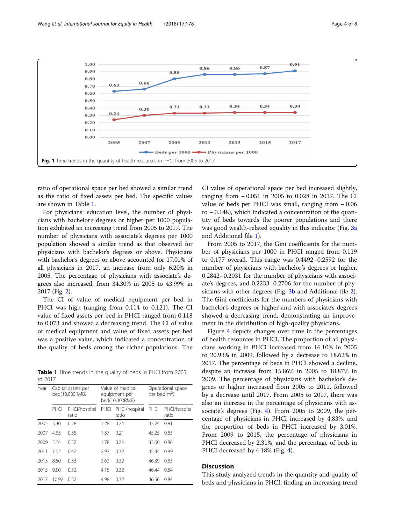<span id="page-3-0"></span>

ratio of operational space per bed showed a similar trend as the ratio of fixed assets per bed. The specific values are shown in Table 1.

For physicians' education level, the number of physicians with bachelor's degrees or higher per 1000 population exhibited an increasing trend from 2005 to 2017. The number of physicians with associate's degrees per 1000 population showed a similar trend as that observed for physicians with bachelor's degrees or above. Physicians with bachelor's degrees or above accounted for 17.01% of all physicians in 2017, an increase from only 6.20% in 2005. The percentage of physicians with associate's degrees also increased, from 34.30% in 2005 to 43.99% in 2017 (Fig. [2](#page-4-0)).

The CI of value of medical equipment per bed in PHCI was high (ranging from 0.114 to 0.121). The CI value of fixed assets per bed in PHCI ranged from 0.118 to 0.073 and showed a decreasing trend. The CI of value of medical equipment and value of fixed assets per bed was a positive value, which indicated a concentration of the quality of beds among the richer populations. The

Table 1 Time trends in the quality of beds in PHCI from 2005 to 2017

| Year | Capital assets per<br>bed(10.000RMB) |                        | Value of medical<br>equipment per<br>bed(10.000RMB) |                        | Operational space<br>per bed(m <sup>2</sup> ) |                        |
|------|--------------------------------------|------------------------|-----------------------------------------------------|------------------------|-----------------------------------------------|------------------------|
|      | PHCI                                 | PHCl/hospital<br>ratio | PHCI                                                | PHCl/hospital<br>ratio | PHCI                                          | PHCl/hospital<br>ratio |
| 2005 | 3.30                                 | 0.28                   | 1.28                                                | 0.24                   | 43.24                                         | 0.81                   |
| 2007 | 4.83                                 | 0.35                   | 1.37                                                | 0.21                   | 45.25                                         | 0.83                   |
| 2009 | 5.64                                 | 0.37                   | 1.78                                                | 0.24                   | 43.60                                         | 0.86                   |
| 2011 | 7.62                                 | 0.42                   | 2.93                                                | 0.32                   | 45.44                                         | 0.89                   |
| 2013 | 8.50                                 | 0.33                   | 3.63                                                | 0.32                   | 46.39                                         | 0.83                   |
| 2015 | 9.50                                 | 0.32                   | 4.15                                                | 0.32                   | 46.44                                         | 0.84                   |
| 2017 | 10.92                                | 0.32                   | 4.98                                                | 0.32                   | 46.56                                         | 0.84                   |

CI value of operational space per bed increased slightly, ranging from − 0.051 in 2005 to 0.028 in 2017. The CI value of beds per PHCI was small, ranging from − 0.06 to − 0.148), which indicated a concentration of the quantity of beds towards the poorer populations and there was good wealth-related equality in this indicator (Fig. [3a](#page-4-0) and Additional file [1](#page-6-0)).

From 2005 to 2017, the Gini coefficients for the number of physicians per 1000 in PHCI ranged from 0.119 to 0.177 overall. This range was 0.4492–0.2592 for the number of physicians with bachelor's degrees or higher, 0.2842–0.2031 for the number of physicians with associate's degrees, and 0.2233–0.2706 for the number of phy-sicians with other degrees (Fig. [3b](#page-4-0) and Additional file [2](#page-6-0)). The Gini coefficients for the numbers of physicians with bachelor's degrees or higher and with associate's degrees showed a decreasing trend, demonstrating an improvement in the distribution of high-quality physicians.

Figure [4](#page-5-0) depicts changes over time in the percentages of health resources in PHCI. The proportion of all physicians working in PHCI increased from 16.10% in 2005 to 20.93% in 2009, followed by a decrease to 18.62% in 2017. The percentage of beds in PHCI showed a decline, despite an increase from 15.86% in 2005 to 18.87% in 2009. The percentage of physicians with bachelor's degrees or higher increased from 2005 to 2011, followed by a decrease until 2017. From 2005 to 2017, there was also an increase in the percentage of physicians with associate's degrees (Fig. [4\)](#page-5-0). From 2005 to 2009, the percentage of physicians in PHCI increased by 4.83%, and the proportion of beds in PHCI increased by 3.01%. From 2009 to 2015, the percentage of physicians in PHCI decreased by 2.31%, and the percentage of beds in PHCI decreased by [4](#page-5-0).18% (Fig. 4).

# **Discussion**

This study analyzed trends in the quantity and quality of beds and physicians in PHCI, finding an increasing trend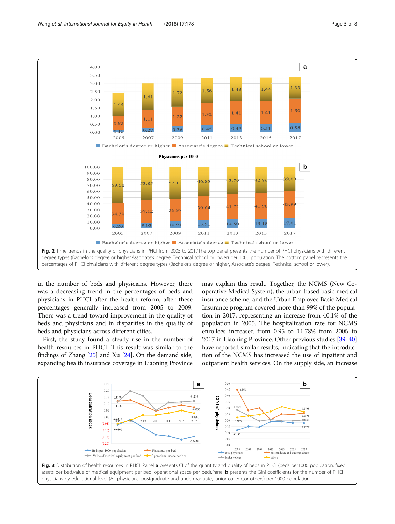<span id="page-4-0"></span>

in the number of beds and physicians. However, there was a decreasing trend in the percentages of beds and physicians in PHCI after the health reform, after these percentages generally increased from 2005 to 2009. There was a trend toward improvement in the quality of beds and physicians and in disparities in the quality of beds and physicians across different cities.

First, the study found a steady rise in the number of health resources in PHCI. This result was similar to the findings of Zhang [[25](#page-7-0)] and Xu [\[24\]](#page-7-0). On the demand side, expanding health insurance coverage in Liaoning Province may explain this result. Together, the NCMS (New Cooperative Medical System), the urban-based basic medical insurance scheme, and the Urban Employee Basic Medical Insurance program covered more than 99% of the population in 2017, representing an increase from 40.1% of the population in 2005. The hospitalization rate for NCMS enrollees increased from 0.95 to 11.78% from 2005 to 2017 in Liaoning Province. Other previous studies [\[39,](#page-7-0) [40](#page-7-0)] have reported similar results, indicating that the introduction of the NCMS has increased the use of inpatient and outpatient health services. On the supply side, an increase



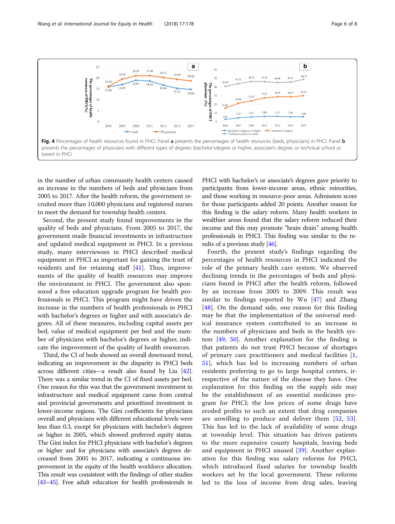<span id="page-5-0"></span>

in the number of urban community health centers caused an increase in the numbers of beds and physicians from 2005 to 2017. After the health reform, the government recruited more than 10,000 physicians and registered nurses to meet the demand for township health centers.

Second, the present study found improvements in the quality of beds and physicians. From 2005 to 2017, the government made financial investments in infrastructure and updated medical equipment in PHCI. In a previous study, many interviewees in PHCI described medical equipment in PHCI as important for gaining the trust of residents and for retaining staff [[41\]](#page-7-0). Thus, improvements of the quality of health resources may improve the environment in PHCI. The government also sponsored a free education upgrade program for health professionals in PHCI. This program might have driven the increase in the numbers of health professionals in PHCI with bachelor's degrees or higher and with associate's degrees. All of these measures, including capital assets per bed, value of medical equipment per bed and the number of physicians with bachelor's degrees or higher, indicate the improvement of the quality of health resources.

Third, the CI of beds showed an overall downward trend, indicating an improvement in the disparity in PHCI beds across different cities—a result also found by Liu [\[42](#page-7-0)]. There was a similar trend in the CI of fixed assets per bed. One reason for this was that the government investment in infrastructure and medical equipment came from central and provincial governments and prioritized investment in lower-income regions. The Gini coefficients for physicians overall and physicians with different educational levels were less than 0.3, except for physicians with bachelor's degrees or higher in 2005, which showed preferred equity status. The Gini index for PHCI physicians with bachelor's degrees or higher and for physicians with associate's degrees decreased from 2005 to 2017, indicating a continuous improvement in the equity of the health workforce allocation. This result was consistent with the findings of other studies [[43](#page-7-0)–[45](#page-7-0)]. Free adult education for health professionals in

PHCI with bachelor's or associate's degrees gave priority to participants from lower-income areas, ethnic minorities, and those working in resource-poor areas. Admission score for those participants added 20 points. Another reason for this finding is the salary reform. Many health workers in wealthier areas found that the salary reform reduced their income and this may promote "brain drain" among health professionals in PHCI. This finding was similar to the re-sults of a previous study [[46](#page-7-0)].

Fourth, the present study's findings regarding the percentages of health resources in PHCI indicated the role of the primary health care system. We observed declining trends in the percentages of beds and physicians found in PHCI after the health reform, followed by an increase from 2005 to 2009. This result was similar to findings reported by Wu [\[47](#page-7-0)] and Zhang [[48](#page-7-0)]. On the demand side, one reason for this finding may be that the implementation of the universal medical insurance system contributed to an increase in the numbers of physicians and beds in the health system [\[49](#page-7-0), [50\]](#page-7-0). Another explanation for the finding is that patients do not trust PHCI because of shortages of primary care practitioners and medical facilities [\[1](#page-6-0), [51\]](#page-7-0), which has led to increasing numbers of urban residents preferring to go to large hospital centers, irrespective of the nature of the disease they have. One explanation for this finding on the supply side may be the establishment of an essential medicines program for PHCI; the low prices of some drugs have eroded profits to such an extent that drug companies are unwilling to produce and deliver them [\[52](#page-7-0), [53](#page-7-0)]. This has led to the lack of availability of some drugs at township level. This situation has driven patients to the more expensive county hospitals, leaving beds and equipment in PHCI unused [\[39](#page-7-0)]. Another explanation for this finding was salary reforms for PHCI, which introduced fixed salaries for township health workers set by the local government. These reforms led to the loss of income from drug sales, leaving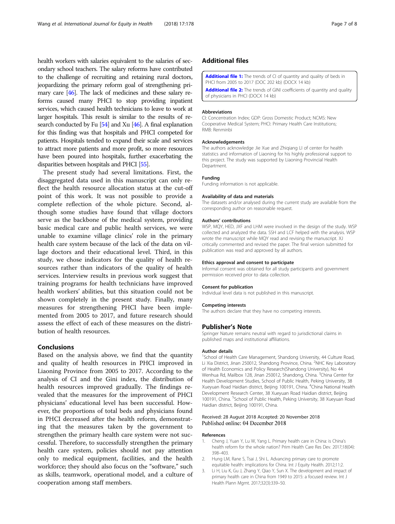<span id="page-6-0"></span>health workers with salaries equivalent to the salaries of secondary school teachers. The salary reforms have contributed to the challenge of recruiting and retaining rural doctors, jeopardizing the primary reform goal of strengthening primary care [[46\]](#page-7-0). The lack of medicines and these salary reforms caused many PHCI to stop providing inpatient services, which caused health technicians to leave to work at larger hospitals. This result is similar to the results of research conducted by Fu  $[54]$  $[54]$  and Xu  $[46]$ . A final explanation for this finding was that hospitals and PHCI competed for patients. Hospitals tended to expand their scale and services to attract more patients and more profit, so more resources have been poured into hospitals, further exacerbating the disparities between hospitals and PHCI [\[55](#page-7-0)].

The present study had several limitations. First, the disaggregated data used in this manuscript can only reflect the health resource allocation status at the cut-off point of this work. It was not possible to provide a complete reflection of the whole picture. Second, although some studies have found that village doctors serve as the backbone of the medical system, providing basic medical care and public health services, we were unable to examine village clinics' role in the primary health care system because of the lack of the data on village doctors and their educational level. Third, in this study, we chose indicators for the quality of health resources rather than indicators of the quality of health services. Interview results in previous work suggest that training programs for health technicians have improved health workers' abilities, but this situation could not be shown completely in the present study. Finally, many measures for strengthening PHCI have been implemented from 2005 to 2017, and future research should assess the effect of each of these measures on the distribution of health resources.

# Conclusions

Based on the analysis above, we find that the quantity and quality of health resources in PHCI improved in Liaoning Province from 2005 to 2017. According to the analysis of CI and the Gini index, the distribution of health resources improved gradually. The findings revealed that the measures for the improvement of PHCI physicians' educational level has been successful. However, the proportions of total beds and physicians found in PHCI decreased after the health reform, demonstrating that the measures taken by the government to strengthen the primary health care system were not successful. Therefore, to successfully strengthen the primary health care system, policies should not pay attention only to medical equipment, facilities, and the health workforce; they should also focus on the "software," such as skills, teamwork, operational model, and a culture of cooperation among staff members.

[Additional file 1:](https://doi.org/10.1186/s12939-018-0896-8) The trends of CI of quantity and quality of beds in PHCI from 2005 to 2017 (DOC 202 kb) (DOCX 14 kb) [Additional file 2:](https://doi.org/10.1186/s12939-018-0896-8) The trends of GINI coefficients of quantity and quality

of physicians in PHCI (DOCX 14 kb)

#### Abbreviations

CI: Concentration Index; GDP: Gross Domestic Product; NCMS: New Cooperative Medical System; PHCI: Primary Health Care Institutions; RMB: Renminbi

#### Acknowledgements

The authors acknowledge Jie Xue and Zhiqiang LI of center for health statistics and information of Liaoning for his highly professional support to this project. The study was supported by Liaoning Provincial Health **Department** 

#### Funding

Funding information is not applicable.

#### Availability of data and materials

The datasets and/or analysed during the current study are available from the corresponding author on reasonable request.

#### Authors' contributions

WSP, MQY, HED, JXF and LHM were involved in the design of the study. WSP collected and analyzed the data. SSH and LCF helped with the analysis. WSP wrote the manuscript while MQY read and revising the manuscript. XJ critically commented and revised the paper. The final version submitted for publication was read and approved by all authors.

### Ethics approval and consent to participate

Informal consent was obtained for all study participants and government permission received prior to data collection.

#### Consent for publication

Individual level data is not published in this manuscript.

#### Competing interests

The authors declare that they have no competing interests.

#### Publisher's Note

Springer Nature remains neutral with regard to jurisdictional claims in published maps and institutional affiliations.

#### Author details

<sup>1</sup>School of Health Care Management, Shandong University, 44 Culture Road, Li Xia District, Jinan 250012, Shandong Province, China. <sup>2</sup>NHC Key Laboratory of Health Economics and Policy Research(Shandong University), No 44 Wenhua Rd, Mailbox 128, Jinan 250012, Shandong, China. <sup>3</sup>China Center for Health Development Studies, School of Public Health, Peking University, 38 Xueyuan Road Haidian district, Beijing 100191, China. <sup>4</sup> China National Health Development Research Center, 38 Xueyuan Road Haidian district, Beijing 100191, China. <sup>5</sup>School of Public Health, Peking University, 38 Xueyuan Road Haidian district, Beijing 100191, China.

## Received: 28 August 2018 Accepted: 20 November 2018 Published online: 04 December 2018

#### References

- 1. Cheng J, Yuan Y, Lu W, Yang L. Primary health care in China: is China's health reform for the whole nation? Prim Health Care Res Dev. 2017;18(04): 398–403.
- 2. Hung LM, Rane S, Tsai J, Shi L. Advancing primary care to promote equitable health: implications for China. Int J Equity Health. 2012;11:2.
- 3. Li H, Liu K, Gu J, Zhang Y, Qiao Y, Sun X. The development and impact of primary health care in China from 1949 to 2015: a focused review. Int J Health Plann Mgmt. 2017;32(3):339–50.